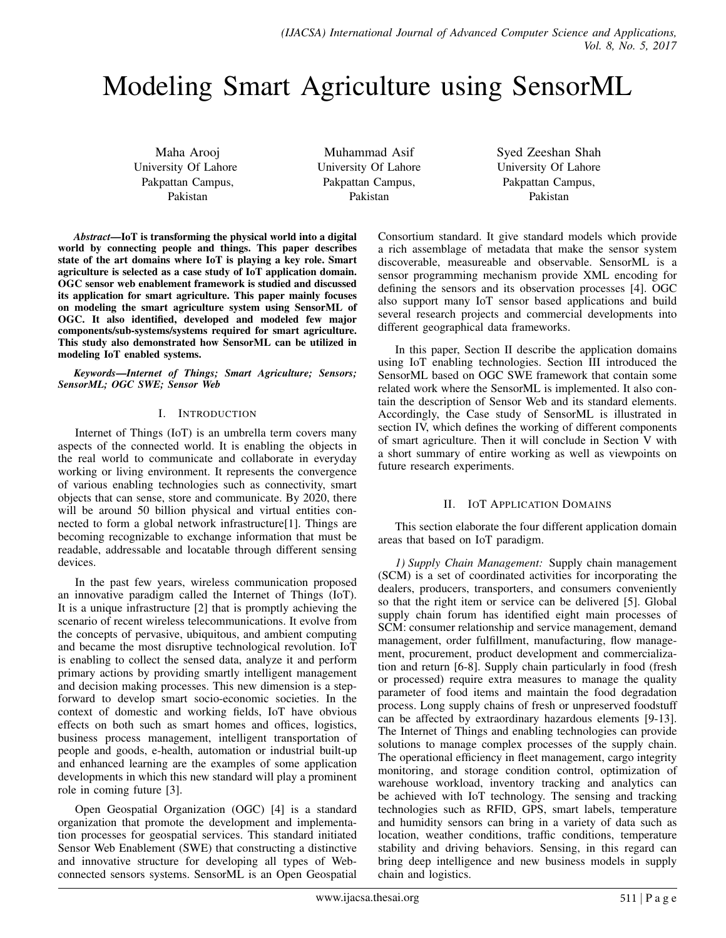# Modeling Smart Agriculture using SensorML

Maha Arooj University Of Lahore Pakpattan Campus, Pakistan

Muhammad Asif University Of Lahore Pakpattan Campus, Pakistan

Syed Zeeshan Shah University Of Lahore Pakpattan Campus, Pakistan

*Abstract*—IoT is transforming the physical world into a digital world by connecting people and things. This paper describes state of the art domains where IoT is playing a key role. Smart agriculture is selected as a case study of IoT application domain. OGC sensor web enablement framework is studied and discussed its application for smart agriculture. This paper mainly focuses on modeling the smart agriculture system using SensorML of OGC. It also identified, developed and modeled few major components/sub-systems/systems required for smart agriculture. This study also demonstrated how SensorML can be utilized in modeling IoT enabled systems.

*Keywords*—*Internet of Things; Smart Agriculture; Sensors; SensorML; OGC SWE; Sensor Web*

## I. INTRODUCTION

Internet of Things (IoT) is an umbrella term covers many aspects of the connected world. It is enabling the objects in the real world to communicate and collaborate in everyday working or living environment. It represents the convergence of various enabling technologies such as connectivity, smart objects that can sense, store and communicate. By 2020, there will be around 50 billion physical and virtual entities connected to form a global network infrastructure[1]. Things are becoming recognizable to exchange information that must be readable, addressable and locatable through different sensing devices.

In the past few years, wireless communication proposed an innovative paradigm called the Internet of Things (IoT). It is a unique infrastructure [2] that is promptly achieving the scenario of recent wireless telecommunications. It evolve from the concepts of pervasive, ubiquitous, and ambient computing and became the most disruptive technological revolution. IoT is enabling to collect the sensed data, analyze it and perform primary actions by providing smartly intelligent management and decision making processes. This new dimension is a stepforward to develop smart socio-economic societies. In the context of domestic and working fields, IoT have obvious effects on both such as smart homes and offices, logistics, business process management, intelligent transportation of people and goods, e-health, automation or industrial built-up and enhanced learning are the examples of some application developments in which this new standard will play a prominent role in coming future [3].

Open Geospatial Organization (OGC) [4] is a standard organization that promote the development and implementation processes for geospatial services. This standard initiated Sensor Web Enablement (SWE) that constructing a distinctive and innovative structure for developing all types of Webconnected sensors systems. SensorML is an Open Geospatial

Consortium standard. It give standard models which provide a rich assemblage of metadata that make the sensor system discoverable, measureable and observable. SensorML is a sensor programming mechanism provide XML encoding for defining the sensors and its observation processes [4]. OGC also support many IoT sensor based applications and build several research projects and commercial developments into different geographical data frameworks.

In this paper, Section II describe the application domains using IoT enabling technologies. Section III introduced the SensorML based on OGC SWE framework that contain some related work where the SensorML is implemented. It also contain the description of Sensor Web and its standard elements. Accordingly, the Case study of SensorML is illustrated in section IV, which defines the working of different components of smart agriculture. Then it will conclude in Section V with a short summary of entire working as well as viewpoints on future research experiments.

## II. IOT APPLICATION DOMAINS

This section elaborate the four different application domain areas that based on IoT paradigm.

*1) Supply Chain Management:* Supply chain management (SCM) is a set of coordinated activities for incorporating the dealers, producers, transporters, and consumers conveniently so that the right item or service can be delivered [5]. Global supply chain forum has identified eight main processes of SCM: consumer relationship and service management, demand management, order fulfillment, manufacturing, flow management, procurement, product development and commercialization and return [6-8]. Supply chain particularly in food (fresh or processed) require extra measures to manage the quality parameter of food items and maintain the food degradation process. Long supply chains of fresh or unpreserved foodstuff can be affected by extraordinary hazardous elements [9-13]. The Internet of Things and enabling technologies can provide solutions to manage complex processes of the supply chain. The operational efficiency in fleet management, cargo integrity monitoring, and storage condition control, optimization of warehouse workload, inventory tracking and analytics can be achieved with IoT technology. The sensing and tracking technologies such as RFID, GPS, smart labels, temperature and humidity sensors can bring in a variety of data such as location, weather conditions, traffic conditions, temperature stability and driving behaviors. Sensing, in this regard can bring deep intelligence and new business models in supply chain and logistics.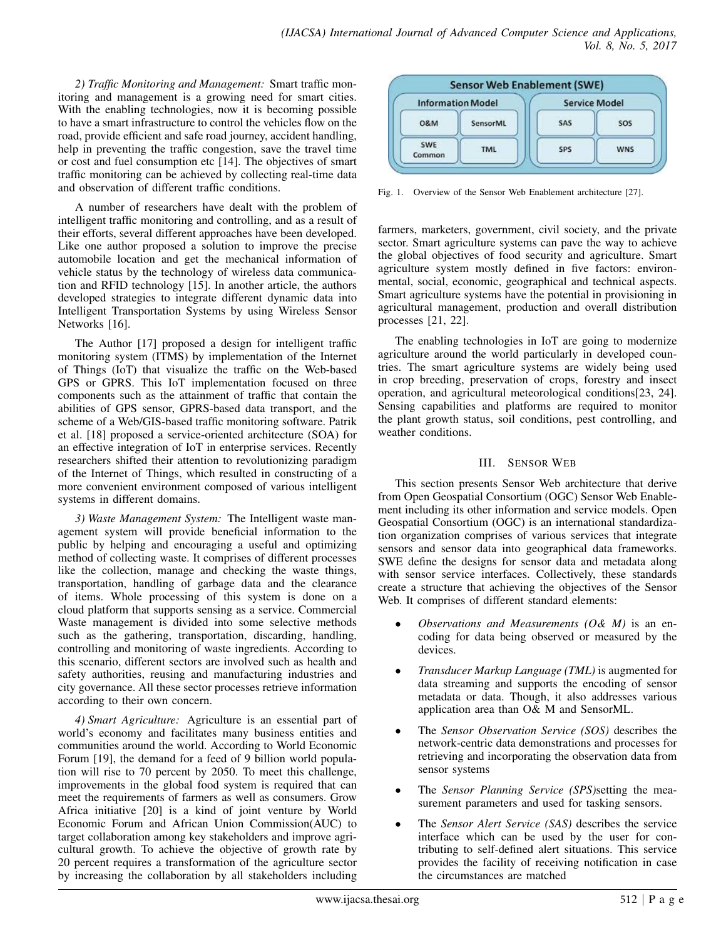*2) Traffic Monitoring and Management:* Smart traffic monitoring and management is a growing need for smart cities. With the enabling technologies, now it is becoming possible to have a smart infrastructure to control the vehicles flow on the road, provide efficient and safe road journey, accident handling, help in preventing the traffic congestion, save the travel time or cost and fuel consumption etc [14]. The objectives of smart traffic monitoring can be achieved by collecting real-time data and observation of different traffic conditions.

A number of researchers have dealt with the problem of intelligent traffic monitoring and controlling, and as a result of their efforts, several different approaches have been developed. Like one author proposed a solution to improve the precise automobile location and get the mechanical information of vehicle status by the technology of wireless data communication and RFID technology [15]. In another article, the authors developed strategies to integrate different dynamic data into Intelligent Transportation Systems by using Wireless Sensor Networks [16].

The Author [17] proposed a design for intelligent traffic monitoring system (ITMS) by implementation of the Internet of Things (IoT) that visualize the traffic on the Web-based GPS or GPRS. This IoT implementation focused on three components such as the attainment of traffic that contain the abilities of GPS sensor, GPRS-based data transport, and the scheme of a Web/GIS-based traffic monitoring software. Patrik et al. [18] proposed a service-oriented architecture (SOA) for an effective integration of IoT in enterprise services. Recently researchers shifted their attention to revolutionizing paradigm of the Internet of Things, which resulted in constructing of a more convenient environment composed of various intelligent systems in different domains.

*3) Waste Management System:* The Intelligent waste management system will provide beneficial information to the public by helping and encouraging a useful and optimizing method of collecting waste. It comprises of different processes like the collection, manage and checking the waste things, transportation, handling of garbage data and the clearance of items. Whole processing of this system is done on a cloud platform that supports sensing as a service. Commercial Waste management is divided into some selective methods such as the gathering, transportation, discarding, handling, controlling and monitoring of waste ingredients. According to this scenario, different sectors are involved such as health and safety authorities, reusing and manufacturing industries and city governance. All these sector processes retrieve information according to their own concern.

*4) Smart Agriculture:* Agriculture is an essential part of world's economy and facilitates many business entities and communities around the world. According to World Economic Forum [19], the demand for a feed of 9 billion world population will rise to 70 percent by 2050. To meet this challenge, improvements in the global food system is required that can meet the requirements of farmers as well as consumers. Grow Africa initiative [20] is a kind of joint venture by World Economic Forum and African Union Commission(AUC) to target collaboration among key stakeholders and improve agricultural growth. To achieve the objective of growth rate by 20 percent requires a transformation of the agriculture sector by increasing the collaboration by all stakeholders including



Fig. 1. Overview of the Sensor Web Enablement architecture [27].

farmers, marketers, government, civil society, and the private sector. Smart agriculture systems can pave the way to achieve the global objectives of food security and agriculture. Smart agriculture system mostly defined in five factors: environmental, social, economic, geographical and technical aspects. Smart agriculture systems have the potential in provisioning in agricultural management, production and overall distribution processes [21, 22].

The enabling technologies in IoT are going to modernize agriculture around the world particularly in developed countries. The smart agriculture systems are widely being used in crop breeding, preservation of crops, forestry and insect operation, and agricultural meteorological conditions[23, 24]. Sensing capabilities and platforms are required to monitor the plant growth status, soil conditions, pest controlling, and weather conditions.

## III. SENSOR WEB

This section presents Sensor Web architecture that derive from Open Geospatial Consortium (OGC) Sensor Web Enablement including its other information and service models. Open Geospatial Consortium (OGC) is an international standardization organization comprises of various services that integrate sensors and sensor data into geographical data frameworks. SWE define the designs for sensor data and metadata along with sensor service interfaces. Collectively, these standards create a structure that achieving the objectives of the Sensor Web. It comprises of different standard elements:

- *Observations and Measurements (O& M)* is an encoding for data being observed or measured by the devices.
- *Transducer Markup Language (TML)* is augmented for data streaming and supports the encoding of sensor metadata or data. Though, it also addresses various application area than O& M and SensorML.
- The *Sensor Observation Service (SOS)* describes the network-centric data demonstrations and processes for retrieving and incorporating the observation data from sensor systems
- The *Sensor Planning Service (SPS)*setting the measurement parameters and used for tasking sensors.
- The *Sensor Alert Service (SAS)* describes the service interface which can be used by the user for contributing to self-defined alert situations. This service provides the facility of receiving notification in case the circumstances are matched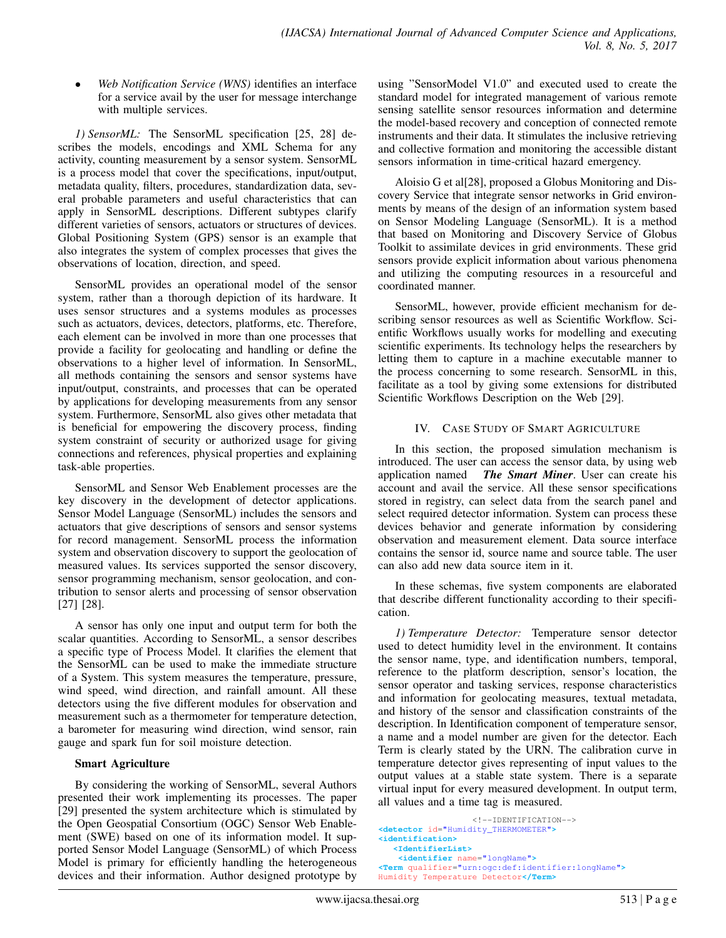• *Web Notification Service (WNS)* identifies an interface for a service avail by the user for message interchange with multiple services.

*1) SensorML:* The SensorML specification [25, 28] describes the models, encodings and XML Schema for any activity, counting measurement by a sensor system. SensorML is a process model that cover the specifications, input/output, metadata quality, filters, procedures, standardization data, several probable parameters and useful characteristics that can apply in SensorML descriptions. Different subtypes clarify different varieties of sensors, actuators or structures of devices. Global Positioning System (GPS) sensor is an example that also integrates the system of complex processes that gives the observations of location, direction, and speed.

SensorML provides an operational model of the sensor system, rather than a thorough depiction of its hardware. It uses sensor structures and a systems modules as processes such as actuators, devices, detectors, platforms, etc. Therefore, each element can be involved in more than one processes that provide a facility for geolocating and handling or define the observations to a higher level of information. In SensorML, all methods containing the sensors and sensor systems have input/output, constraints, and processes that can be operated by applications for developing measurements from any sensor system. Furthermore, SensorML also gives other metadata that is beneficial for empowering the discovery process, finding system constraint of security or authorized usage for giving connections and references, physical properties and explaining task-able properties.

SensorML and Sensor Web Enablement processes are the key discovery in the development of detector applications. Sensor Model Language (SensorML) includes the sensors and actuators that give descriptions of sensors and sensor systems for record management. SensorML process the information system and observation discovery to support the geolocation of measured values. Its services supported the sensor discovery, sensor programming mechanism, sensor geolocation, and contribution to sensor alerts and processing of sensor observation [27] [28].

A sensor has only one input and output term for both the scalar quantities. According to SensorML, a sensor describes a specific type of Process Model. It clarifies the element that the SensorML can be used to make the immediate structure of a System. This system measures the temperature, pressure, wind speed, wind direction, and rainfall amount. All these detectors using the five different modules for observation and measurement such as a thermometer for temperature detection, a barometer for measuring wind direction, wind sensor, rain gauge and spark fun for soil moisture detection.

## Smart Agriculture

By considering the working of SensorML, several Authors presented their work implementing its processes. The paper [29] presented the system architecture which is stimulated by the Open Geospatial Consortium (OGC) Sensor Web Enablement (SWE) based on one of its information model. It supported Sensor Model Language (SensorML) of which Process Model is primary for efficiently handling the heterogeneous devices and their information. Author designed prototype by

using "SensorModel V1.0" and executed used to create the standard model for integrated management of various remote sensing satellite sensor resources information and determine the model-based recovery and conception of connected remote instruments and their data. It stimulates the inclusive retrieving and collective formation and monitoring the accessible distant sensors information in time-critical hazard emergency.

Aloisio G et al[28], proposed a Globus Monitoring and Discovery Service that integrate sensor networks in Grid environments by means of the design of an information system based on Sensor Modeling Language (SensorML). It is a method that based on Monitoring and Discovery Service of Globus Toolkit to assimilate devices in grid environments. These grid sensors provide explicit information about various phenomena and utilizing the computing resources in a resourceful and coordinated manner.

SensorML, however, provide efficient mechanism for describing sensor resources as well as Scientific Workflow. Scientific Workflows usually works for modelling and executing scientific experiments. Its technology helps the researchers by letting them to capture in a machine executable manner to the process concerning to some research. SensorML in this, facilitate as a tool by giving some extensions for distributed Scientific Workflows Description on the Web [29].

#### IV. CASE STUDY OF SMART AGRICULTURE

In this section, the proposed simulation mechanism is introduced. The user can access the sensor data, by using web application named *The Smart Miner*. User can create his account and avail the service. All these sensor specifications stored in registry, can select data from the search panel and select required detector information. System can process these devices behavior and generate information by considering observation and measurement element. Data source interface contains the sensor id, source name and source table. The user can also add new data source item in it.

In these schemas, five system components are elaborated that describe different functionality according to their specification.

*1) Temperature Detector:* Temperature sensor detector used to detect humidity level in the environment. It contains the sensor name, type, and identification numbers, temporal, reference to the platform description, sensor's location, the sensor operator and tasking services, response characteristics and information for geolocating measures, textual metadata, and history of the sensor and classification constraints of the description. In Identification component of temperature sensor, a name and a model number are given for the detector. Each Term is clearly stated by the URN. The calibration curve in temperature detector gives representing of input values to the output values at a stable state system. There is a separate virtual input for every measured development. In output term, all values and a time tag is measured.

```
<!--IDENTIFICATION-->
<detector id="Humidity_THERMOMETER">
<identification>
   <IdentifierList>
    <identifier name="longName">
<Term qualifier="urn:ogc:def:identifier:longName">
Humidity Temperature Detector</Term>
```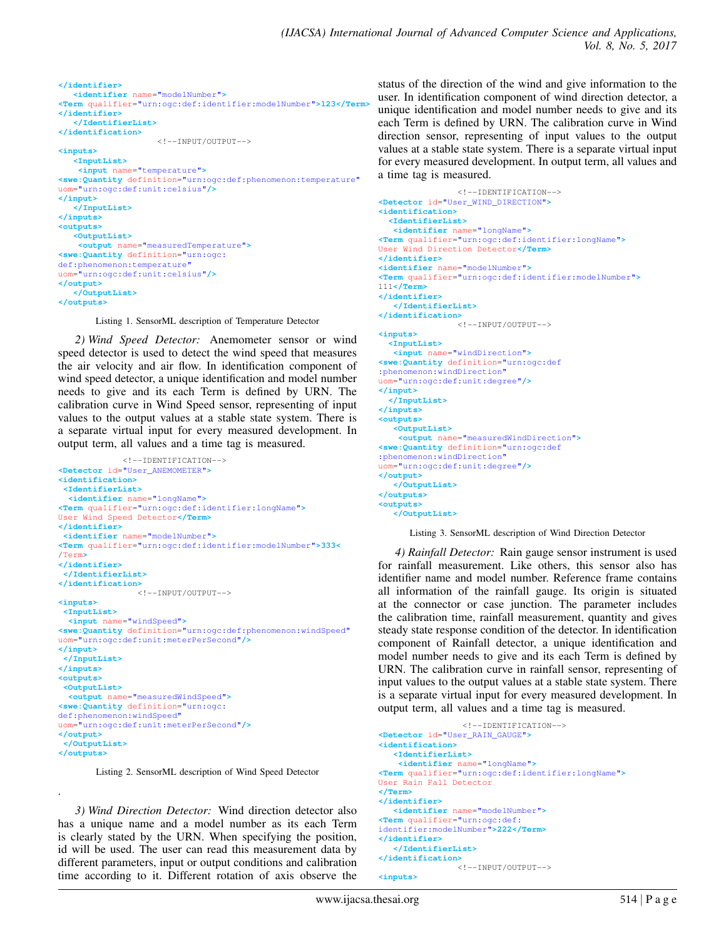```
</identifier>
   <identifier name="modelNumber">
<Term qualifier="urn:ogc:def:identifier:modelNumber">123</Term>
</identifier>
   </IdentifierList>
</identification>
                    <!--INPUT/OUTPUT-->
<inputs>
  <InputList>
   <input name="temperature">
<swe:Quantity definition="urn:ogc:def:phenomenon:temperature"
uom="urn:ogc:def:unit:celsius"/>
</input>
  </InputList>
</inputs>
<outputs>
  <OutputList>
   <output name="measuredTemperature">
<swe:Quantity definition="urn:ogc:
def:phenomenon:temperature"
uom="urn:ogc:def:unit:celsius"/>
</output>
  </OutputList>
</outputs>
```
Listing 1. SensorML description of Temperature Detector

*2) Wind Speed Detector:* Anemometer sensor or wind speed detector is used to detect the wind speed that measures the air velocity and air flow. In identification component of wind speed detector, a unique identification and model number needs to give and its each Term is defined by URN. The calibration curve in Wind Speed sensor, representing of input values to the output values at a stable state system. There is a separate virtual input for every measured development. In output term, all values and a time tag is measured.

```
<!--IDENTIFICATION-->
<Detector id="User_ANEMOMETER">
<identification>
 <IdentifierList>
  <identifier name="longName">
<Term qualifier="urn:ogc:def:identifier:longName">
User Wind Speed Detector</Term>
</identifier>
 <identifier name="modelNumber">
<Term qualifier="urn:ogc:def:identifier:modelNumber">333<
/Term>
</identifier>
 </IdentifierList>
</identification>
                \langle 1 - 1NPUT/OUTPUT-->
<inputs>
 <InputList>
  <input name="windSpeed">
<swe:Quantity definition="urn:ogc:def:phenomenon:windSpeed"
uom="urn:ogc:def:unit:meterPerSecond"/>
</input>
 </InputList>
</inputs>
<outputs>
 <OutputList>
  <output name="measuredWindSpeed">
 <swe:Quantity definition="urn:ogc:
def:phenomenon:windSpeed"
uom="urn:ogc:def:unit:meterPerSecond"/>
</output>
 </OutputList>
</outputs>
```
Listing 2. SensorML description of Wind Speed Detector

.

*3) Wind Direction Detector:* Wind direction detector also has a unique name and a model number as its each Term is clearly stated by the URN. When specifying the position, id will be used. The user can read this measurement data by different parameters, input or output conditions and calibration time according to it. Different rotation of axis observe the

status of the direction of the wind and give information to the user. In identification component of wind direction detector, a unique identification and model number needs to give and its each Term is defined by URN. The calibration curve in Wind direction sensor, representing of input values to the output values at a stable state system. There is a separate virtual input for every measured development. In output term, all values and a time tag is measured.

```
<!--IDENTIFICATION-->
<Detector id="User_WIND_DIRECTION">
<identification>
  <IdentifierList>
   <identifier name="longName">
<Term qualifier="urn:ogc:def:identifier:longName">
User Wind Direction Detector</Term>
</identifier>
<identifier name="modelNumber">
<Term qualifier="urn:ogc:def:identifier:modelNumber">
111</Term>
</identifier>
   </IdentifierList>
</identification>
                <!--INPUT/OUTPUT-->
<inputs>
  <InputList>
   <input name="windDirection">
<swe:Quantity definition="urn:ogc:def
:phenomenon:windDirection"
uom="urn:ogc:def:unit:degree"/>
</input>
  </InputList>
</inputs>
<outputs>
   <OutputList>
    <output name="measuredWindDirection">
<swe:Quantity definition="urn:ogc:def
:phenomenon:windDirection"
uom="urn:ogc:def:unit:degree"/>
</output>
  </OutputList>
</outputs>
<outputs>
   </OutputList>
```
Listing 3. SensorML description of Wind Direction Detector

*4) Rainfall Detector:* Rain gauge sensor instrument is used for rainfall measurement. Like others, this sensor also has identifier name and model number. Reference frame contains all information of the rainfall gauge. Its origin is situated at the connector or case junction. The parameter includes the calibration time, rainfall measurement, quantity and gives steady state response condition of the detector. In identification component of Rainfall detector, a unique identification and model number needs to give and its each Term is defined by URN. The calibration curve in rainfall sensor, representing of input values to the output values at a stable state system. There is a separate virtual input for every measured development. In output term, all values and a time tag is measured.

```
<!--IDENTIFICATION-->
<Detector id="User_RAIN_GAUGE">
<identification>
   <IdentifierList>
    <identifier name="longName">
<Term qualifier="urn:ogc:def:identifier:longName">
User Rain Fall Detector
</Term>
</identifier>
  <identifier name="modelNumber">
<Term qualifier="urn:ogc:def:
identifier:modelNumber">222</Term>
</identifier>
   </IdentifierList>
</identification>
                <!--INPUT/OUTPUT-->
<inputs>
```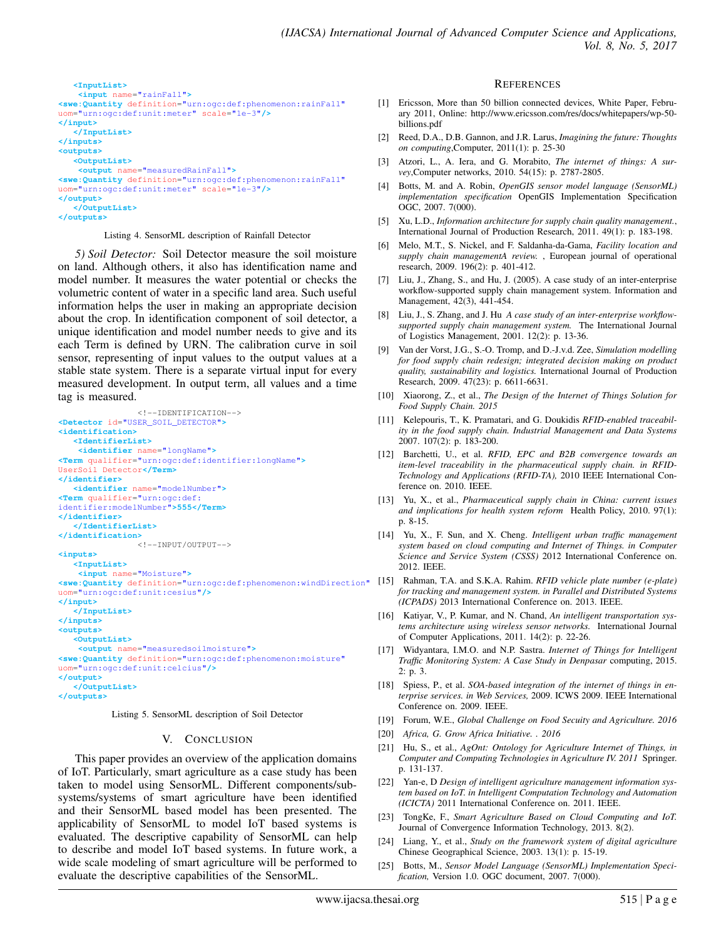

#### Listing 4. SensorML description of Rainfall Detector

*5) Soil Detector:* Soil Detector measure the soil moisture on land. Although others, it also has identification name and model number. It measures the water potential or checks the volumetric content of water in a specific land area. Such useful information helps the user in making an appropriate decision about the crop. In identification component of soil detector, a unique identification and model number needs to give and its each Term is defined by URN. The calibration curve in soil sensor, representing of input values to the output values at a stable state system. There is a separate virtual input for every measured development. In output term, all values and a time tag is measured.

```
<!--IDENTIFICATION-->
<Detector id="USER_SOIL_DETECTOR">
<identification>
   <IdentifierList>
    <identifier name="longName">
<Term qualifier="urn:ogc:def:identifier:longName">
UserSoil Detector</Term>
</identifier>
   <identifier name="modelNumber">
<Term qualifier="urn:ogc:def:
identifier:modelNumber">555</Term>
</identifier>
   </IdentifierList>
</identification>
                <!--INPUT/OUTPUT-->
<inputs>
   <InputList>
    <input name="Moisture">
<swe:Quantity definition="urn:ogc:def:phenomenon:windDirection"
[15] Rahman, T.A. and S.K.A. Rahim. RFID vehicle plate number (e-plate)
uom="urn:ogc:def:unit:cesius"/>
</input>
   </InputList>
</inputs>
<outputs>
   <OutputList>
    <output name="measuredsoilmoisture">
<swe:Quantity definition="urn:ogc:def:phenomenon:moisture"
uom="urn:ogc:def:unit:celcius"/>
</output>
   </OutputList>
</outputs>
```
Listing 5. SensorML description of Soil Detector

#### V. CONCLUSION

This paper provides an overview of the application domains of IoT. Particularly, smart agriculture as a case study has been taken to model using SensorML. Different components/subsystems/systems of smart agriculture have been identified and their SensorML based model has been presented. The applicability of SensorML to model IoT based systems is evaluated. The descriptive capability of SensorML can help to describe and model IoT based systems. In future work, a wide scale modeling of smart agriculture will be performed to evaluate the descriptive capabilities of the SensorML.

#### **REFERENCES**

- [1] Ericsson, More than 50 billion connected devices, White Paper, February 2011, Online: http://www.ericsson.com/res/docs/whitepapers/wp-50 billions.pdf
- [2] Reed, D.A., D.B. Gannon, and J.R. Larus, *Imagining the future: Thoughts on computing*,Computer, 2011(1): p. 25-30
- [3] Atzori, L., A. Iera, and G. Morabito, *The internet of things: A survey*,Computer networks, 2010. 54(15): p. 2787-2805.
- [4] Botts, M. and A. Robin, *OpenGIS sensor model language (SensorML) implementation specification* OpenGIS Implementation Specification OGC, 2007. 7(000).
- [5] Xu, L.D., *Information architecture for supply chain quality management.*, International Journal of Production Research, 2011. 49(1): p. 183-198.
- [6] Melo, M.T., S. Nickel, and F. Saldanha-da-Gama, *Facility location and supply chain managementA review.* , European journal of operational research, 2009. 196(2): p. 401-412.
- Liu, J., Zhang, S., and Hu, J. (2005). A case study of an inter-enterprise workflow-supported supply chain management system. Information and Management, 42(3), 441-454.
- [8] Liu, J., S. Zhang, and J. Hu *A case study of an inter-enterprise workflowsupported supply chain management system.* The International Journal of Logistics Management, 2001. 12(2): p. 13-36.
- [9] Van der Vorst, J.G., S.-O. Tromp, and D.-J.v.d. Zee, *Simulation modelling for food supply chain redesign; integrated decision making on product quality, sustainability and logistics.* International Journal of Production Research, 2009. 47(23): p. 6611-6631.
- [10] Xiaorong, Z., et al., *The Design of the Internet of Things Solution for Food Supply Chain. 2015*
- [11] Kelepouris, T., K. Pramatari, and G. Doukidis *RFID-enabled traceability in the food supply chain. Industrial Management and Data Systems* 2007. 107(2): p. 183-200.
- [12] Barchetti, U., et al. *RFID, EPC and B2B convergence towards an item-level traceability in the pharmaceutical supply chain. in RFID-Technology and Applications (RFID-TA),* 2010 IEEE International Conference on. 2010. IEEE.
- [13] Yu, X., et al., *Pharmaceutical supply chain in China: current issues and implications for health system reform* Health Policy, 2010. 97(1): p. 8-15.
- [14] Yu, X., F. Sun, and X. Cheng. *Intelligent urban traffic management system based on cloud computing and Internet of Things. in Computer Science and Service System (CSSS)* 2012 International Conference on. 2012. IEEE.
- *for tracking and management system. in Parallel and Distributed Systems (ICPADS)* 2013 International Conference on. 2013. IEEE.
- [16] Katiyar, V., P. Kumar, and N. Chand, *An intelligent transportation systems architecture using wireless sensor networks.* International Journal of Computer Applications, 2011. 14(2): p. 22-26.
- [17] Widyantara, I.M.O. and N.P. Sastra. *Internet of Things for Intelligent Traffic Monitoring System: A Case Study in Denpasar* computing, 2015. 2: p. 3.
- [18] Spiess, P., et al. *SOA-based integration of the internet of things in enterprise services. in Web Services,* 2009. ICWS 2009. IEEE International Conference on. 2009. IEEE.
- [19] Forum, W.E., *Global Challenge on Food Secuity and Agriculture. 2016*
- [20] *Africa, G. Grow Africa Initiative. . 2016*
- [21] Hu, S., et al., *AgOnt: Ontology for Agriculture Internet of Things, in Computer and Computing Technologies in Agriculture IV. 2011* Springer. p. 131-137.
- [22] Yan-e, D *Design of intelligent agriculture management information system based on IoT. in Intelligent Computation Technology and Automation (ICICTA)* 2011 International Conference on. 2011. IEEE.
- [23] TongKe, F., *Smart Agriculture Based on Cloud Computing and IoT.* Journal of Convergence Information Technology, 2013. 8(2).
- [24] Liang, Y., et al., *Study on the framework system of digital agriculture* Chinese Geographical Science, 2003. 13(1): p. 15-19.
- [25] Botts, M., *Sensor Model Language (SensorML) Implementation Specification,* Version 1.0. OGC document, 2007. 7(000).